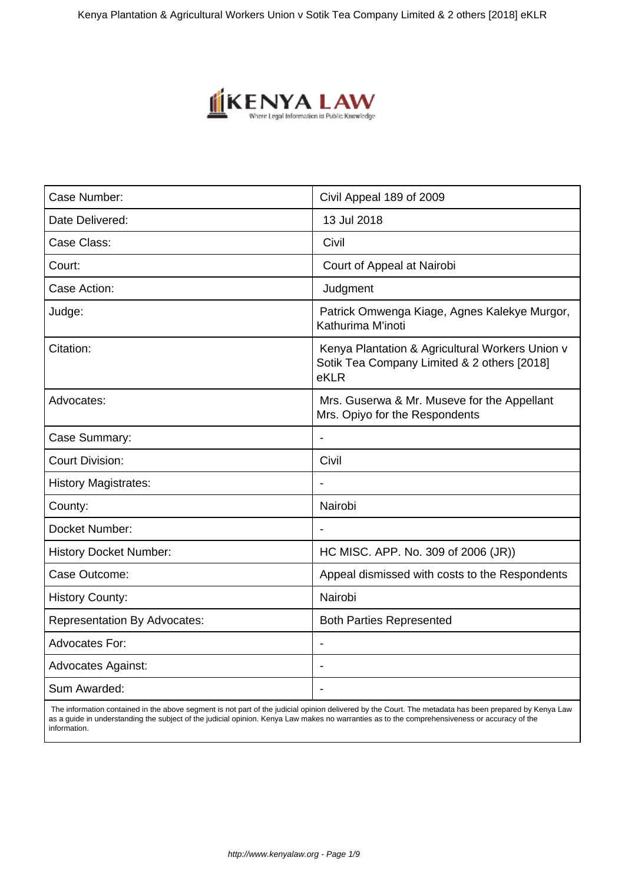

| Civil Appeal 189 of 2009                                                                               |
|--------------------------------------------------------------------------------------------------------|
| 13 Jul 2018                                                                                            |
| Civil                                                                                                  |
| Court of Appeal at Nairobi                                                                             |
| Judgment                                                                                               |
| Patrick Omwenga Kiage, Agnes Kalekye Murgor,<br>Kathurima M'inoti                                      |
| Kenya Plantation & Agricultural Workers Union v<br>Sotik Tea Company Limited & 2 others [2018]<br>eKLR |
| Mrs. Guserwa & Mr. Museve for the Appellant<br>Mrs. Opiyo for the Respondents                          |
| $\overline{\phantom{a}}$                                                                               |
| Civil                                                                                                  |
|                                                                                                        |
| Nairobi                                                                                                |
|                                                                                                        |
| HC MISC. APP. No. 309 of 2006 (JR))                                                                    |
| Appeal dismissed with costs to the Respondents                                                         |
| Nairobi                                                                                                |
| <b>Both Parties Represented</b>                                                                        |
|                                                                                                        |
|                                                                                                        |
|                                                                                                        |
|                                                                                                        |

 The information contained in the above segment is not part of the judicial opinion delivered by the Court. The metadata has been prepared by Kenya Law as a guide in understanding the subject of the judicial opinion. Kenya Law makes no warranties as to the comprehensiveness or accuracy of the information.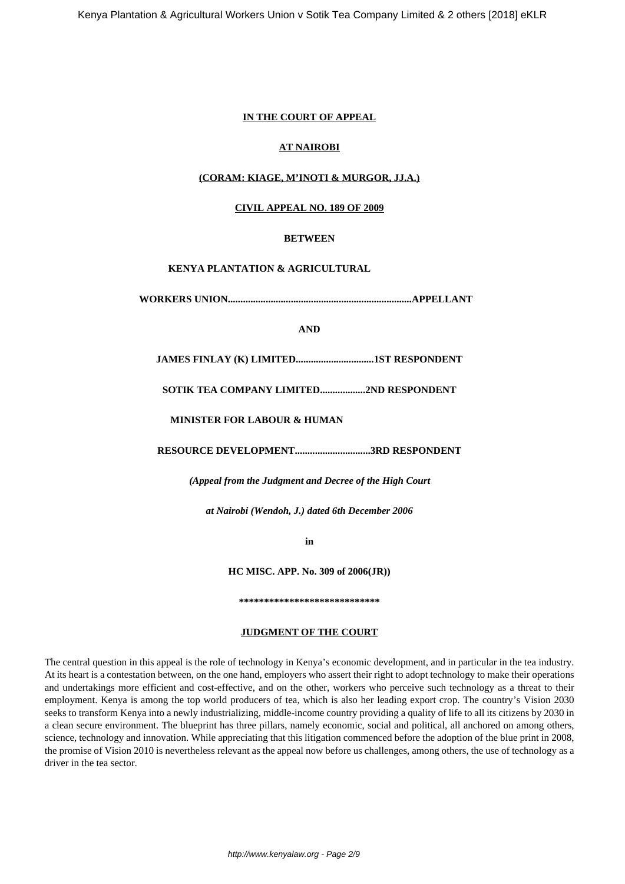# **IN THE COURT OF APPEAL**

# **AT NAIROBI**

# **(CORAM: KIAGE, M'INOTI & MURGOR, JJ.A.)**

## **CIVIL APPEAL NO. 189 OF 2009**

## **BETWEEN**

# **KENYA PLANTATION & AGRICULTURAL**

**WORKERS UNION.........................................................................APPELLANT**

## **AND**

**JAMES FINLAY (K) LIMITED...............................1ST RESPONDENT**

**SOTIK TEA COMPANY LIMITED..................2ND RESPONDENT**

**MINISTER FOR LABOUR & HUMAN**

**RESOURCE DEVELOPMENT..............................3RD RESPONDENT**

*(Appeal from the Judgment and Decree of the High Court*

*at Nairobi (Wendoh, J.) dated 6th December 2006*

**in**

**HC MISC. APP. No. 309 of 2006(JR))**

**\*\*\*\*\*\*\*\*\*\*\*\*\*\*\*\*\*\*\*\*\*\*\*\*\*\*\*\***

# **JUDGMENT OF THE COURT**

The central question in this appeal is the role of technology in Kenya's economic development, and in particular in the tea industry. At its heart is a contestation between, on the one hand, employers who assert their right to adopt technology to make their operations and undertakings more efficient and cost-effective, and on the other, workers who perceive such technology as a threat to their employment. Kenya is among the top world producers of tea, which is also her leading export crop. The country's Vision 2030 seeks to transform Kenya into a newly industrializing, middle-income country providing a quality of life to all its citizens by 2030 in a clean secure environment. The blueprint has three pillars, namely economic, social and political, all anchored on among others, science, technology and innovation. While appreciating that this litigation commenced before the adoption of the blue print in 2008, the promise of Vision 2010 is nevertheless relevant as the appeal now before us challenges, among others, the use of technology as a driver in the tea sector.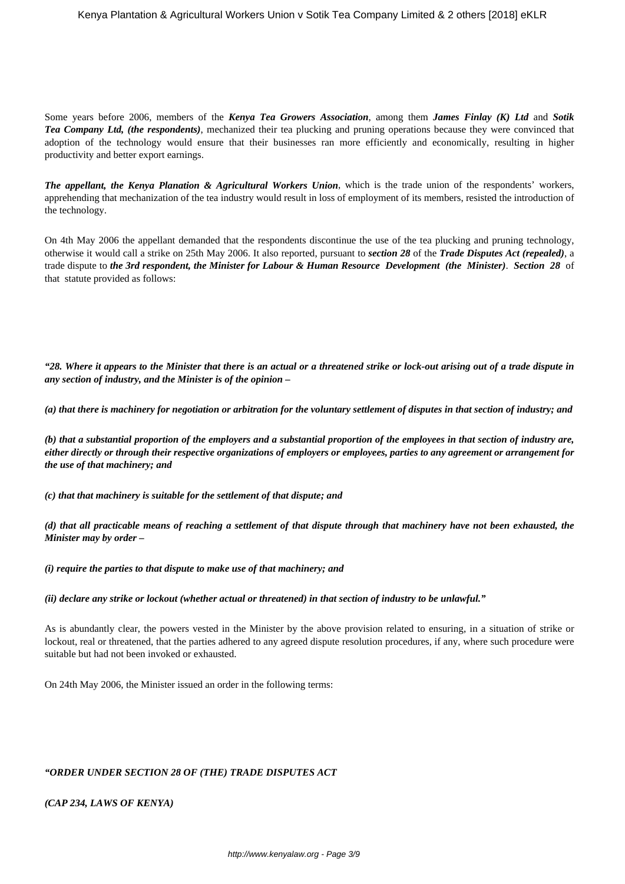Some years before 2006, members of the *Kenya Tea Growers Association*, among them *James Finlay (K) Ltd* and *Sotik Tea Company Ltd, (the respondents)*, mechanized their tea plucking and pruning operations because they were convinced that adoption of the technology would ensure that their businesses ran more efficiently and economically, resulting in higher productivity and better export earnings.

*The appellant, the Kenya Planation & Agricultural Workers Union*, which is the trade union of the respondents' workers, apprehending that mechanization of the tea industry would result in loss of employment of its members, resisted the introduction of the technology.

On 4th May 2006 the appellant demanded that the respondents discontinue the use of the tea plucking and pruning technology, otherwise it would call a strike on 25th May 2006. It also reported, pursuant to *section 28* of the *Trade Disputes Act (repealed)*, a trade dispute to *the 3rd respondent, the Minister for Labour & Human Resource Development (the Minister)*. *Section 28* of that statute provided as follows:

*"28. Where it appears to the Minister that there is an actual or a threatened strike or lock-out arising out of a trade dispute in any section of industry, and the Minister is of the opinion –*

*(a) that there is machinery for negotiation or arbitration for the voluntary settlement of disputes in that section of industry; and*

*(b) that a substantial proportion of the employers and a substantial proportion of the employees in that section of industry are, either directly or through their respective organizations of employers or employees, parties to any agreement or arrangement for the use of that machinery; and*

*(c) that that machinery is suitable for the settlement of that dispute; and*

*(d) that all practicable means of reaching a settlement of that dispute through that machinery have not been exhausted, the Minister may by order –*

*(i) require the parties to that dispute to make use of that machinery; and*

*(ii) declare any strike or lockout (whether actual or threatened) in that section of industry to be unlawful."*

As is abundantly clear, the powers vested in the Minister by the above provision related to ensuring, in a situation of strike or lockout, real or threatened, that the parties adhered to any agreed dispute resolution procedures, if any, where such procedure were suitable but had not been invoked or exhausted.

On 24th May 2006, the Minister issued an order in the following terms:

## *"ORDER UNDER SECTION 28 OF (THE) TRADE DISPUTES ACT*

*(CAP 234, LAWS OF KENYA)*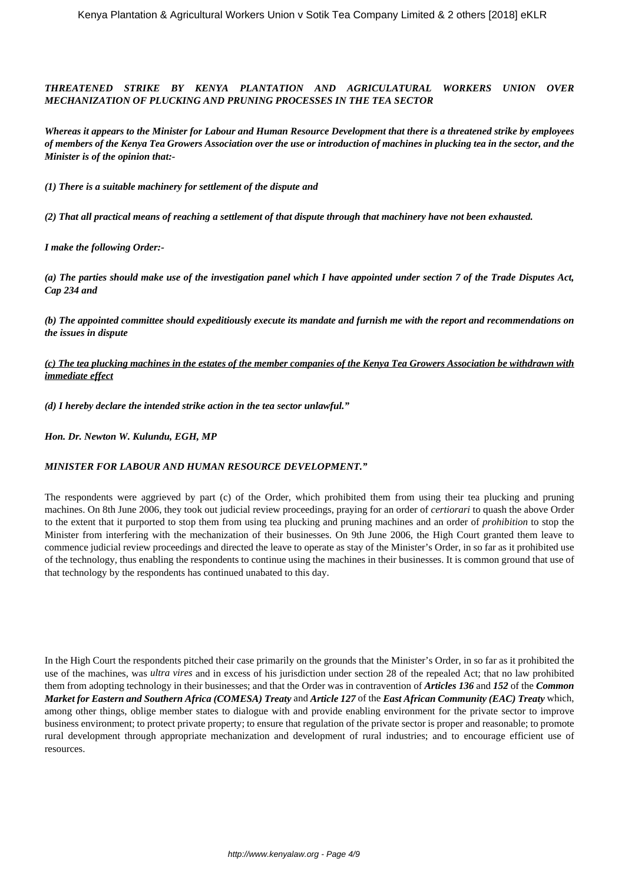*THREATENED STRIKE BY KENYA PLANTATION AND AGRICULATURAL WORKERS UNION OVER MECHANIZATION OF PLUCKING AND PRUNING PROCESSES IN THE TEA SECTOR*

*Whereas it appears to the Minister for Labour and Human Resource Development that there is a threatened strike by employees of members of the Kenya Tea Growers Association over the use or introduction of machines in plucking tea in the sector, and the Minister is of the opinion that:-*

*(1) There is a suitable machinery for settlement of the dispute and*

*(2) That all practical means of reaching a settlement of that dispute through that machinery have not been exhausted.*

*I make the following Order:-*

*(a) The parties should make use of the investigation panel which I have appointed under section 7 of the Trade Disputes Act, Cap 234 and*

*(b) The appointed committee should expeditiously execute its mandate and furnish me with the report and recommendations on the issues in dispute*

*(c) The tea plucking machines in the estates of the member companies of the Kenya Tea Growers Association be withdrawn with immediate effect*

*(d) I hereby declare the intended strike action in the tea sector unlawful."*

*Hon. Dr. Newton W. Kulundu, EGH, MP*

#### *MINISTER FOR LABOUR AND HUMAN RESOURCE DEVELOPMENT."*

The respondents were aggrieved by part (c) of the Order, which prohibited them from using their tea plucking and pruning machines. On 8th June 2006, they took out judicial review proceedings, praying for an order of *certiorari* to quash the above Order to the extent that it purported to stop them from using tea plucking and pruning machines and an order of *prohibition* to stop the Minister from interfering with the mechanization of their businesses. On 9th June 2006, the High Court granted them leave to commence judicial review proceedings and directed the leave to operate as stay of the Minister's Order, in so far as it prohibited use of the technology, thus enabling the respondents to continue using the machines in their businesses. It is common ground that use of that technology by the respondents has continued unabated to this day.

In the High Court the respondents pitched their case primarily on the grounds that the Minister's Order, in so far as it prohibited the use of the machines, was *ultra vires* and in excess of his jurisdiction under section 28 of the repealed Act; that no law prohibited them from adopting technology in their businesses; and that the Order was in contravention of *Articles 136* and *152* of the *Common Market for Eastern and Southern Africa (COMESA) Treaty* and *Article 127* of the *East African Community (EAC) Treaty* which, among other things, oblige member states to dialogue with and provide enabling environment for the private sector to improve business environment; to protect private property; to ensure that regulation of the private sector is proper and reasonable; to promote rural development through appropriate mechanization and development of rural industries; and to encourage efficient use of resources.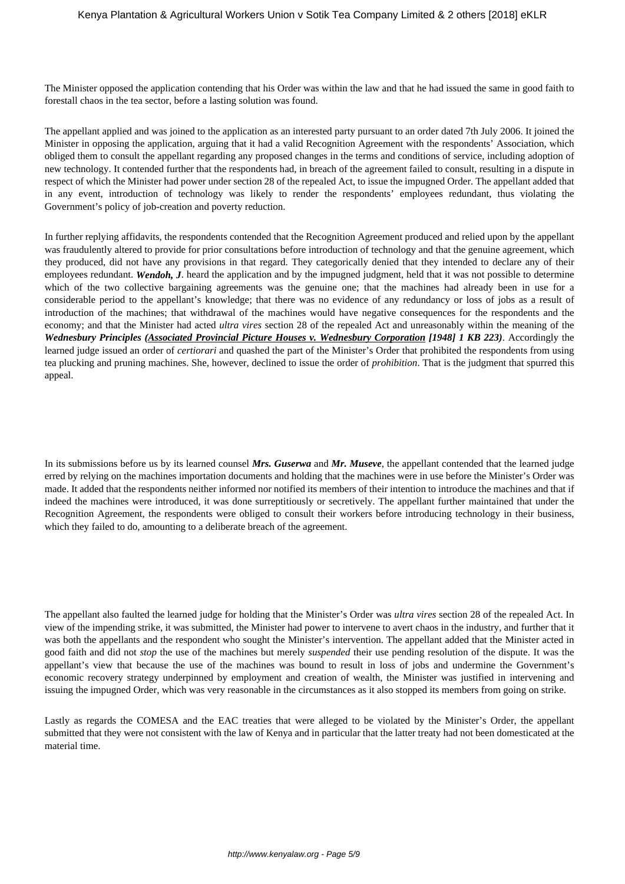The Minister opposed the application contending that his Order was within the law and that he had issued the same in good faith to forestall chaos in the tea sector, before a lasting solution was found.

The appellant applied and was joined to the application as an interested party pursuant to an order dated 7th July 2006. It joined the Minister in opposing the application, arguing that it had a valid Recognition Agreement with the respondents' Association, which obliged them to consult the appellant regarding any proposed changes in the terms and conditions of service, including adoption of new technology. It contended further that the respondents had, in breach of the agreement failed to consult, resulting in a dispute in respect of which the Minister had power under section 28 of the repealed Act, to issue the impugned Order. The appellant added that in any event, introduction of technology was likely to render the respondents' employees redundant, thus violating the Government's policy of job-creation and poverty reduction.

In further replying affidavits, the respondents contended that the Recognition Agreement produced and relied upon by the appellant was fraudulently altered to provide for prior consultations before introduction of technology and that the genuine agreement, which they produced, did not have any provisions in that regard. They categorically denied that they intended to declare any of their employees redundant. *Wendoh, J*. heard the application and by the impugned judgment, held that it was not possible to determine which of the two collective bargaining agreements was the genuine one; that the machines had already been in use for a considerable period to the appellant's knowledge; that there was no evidence of any redundancy or loss of jobs as a result of introduction of the machines; that withdrawal of the machines would have negative consequences for the respondents and the economy; and that the Minister had acted *ultra vires* section 28 of the repealed Act and unreasonably within the meaning of the *Wednesbury Principles (Associated Provincial Picture Houses v. Wednesbury Corporation [1948] 1 KB 223)*. Accordingly the learned judge issued an order of *certiorari* and quashed the part of the Minister's Order that prohibited the respondents from using tea plucking and pruning machines. She, however, declined to issue the order of *prohibition*. That is the judgment that spurred this appeal.

In its submissions before us by its learned counsel *Mrs. Guserwa* and *Mr. Museve*, the appellant contended that the learned judge erred by relying on the machines importation documents and holding that the machines were in use before the Minister's Order was made. It added that the respondents neither informed nor notified its members of their intention to introduce the machines and that if indeed the machines were introduced, it was done surreptitiously or secretively. The appellant further maintained that under the Recognition Agreement, the respondents were obliged to consult their workers before introducing technology in their business, which they failed to do, amounting to a deliberate breach of the agreement.

The appellant also faulted the learned judge for holding that the Minister's Order was *ultra vires* section 28 of the repealed Act. In view of the impending strike, it was submitted, the Minister had power to intervene to avert chaos in the industry, and further that it was both the appellants and the respondent who sought the Minister's intervention. The appellant added that the Minister acted in good faith and did not *stop* the use of the machines but merely *suspended* their use pending resolution of the dispute. It was the appellant's view that because the use of the machines was bound to result in loss of jobs and undermine the Government's economic recovery strategy underpinned by employment and creation of wealth, the Minister was justified in intervening and issuing the impugned Order, which was very reasonable in the circumstances as it also stopped its members from going on strike.

Lastly as regards the COMESA and the EAC treaties that were alleged to be violated by the Minister's Order, the appellant submitted that they were not consistent with the law of Kenya and in particular that the latter treaty had not been domesticated at the material time.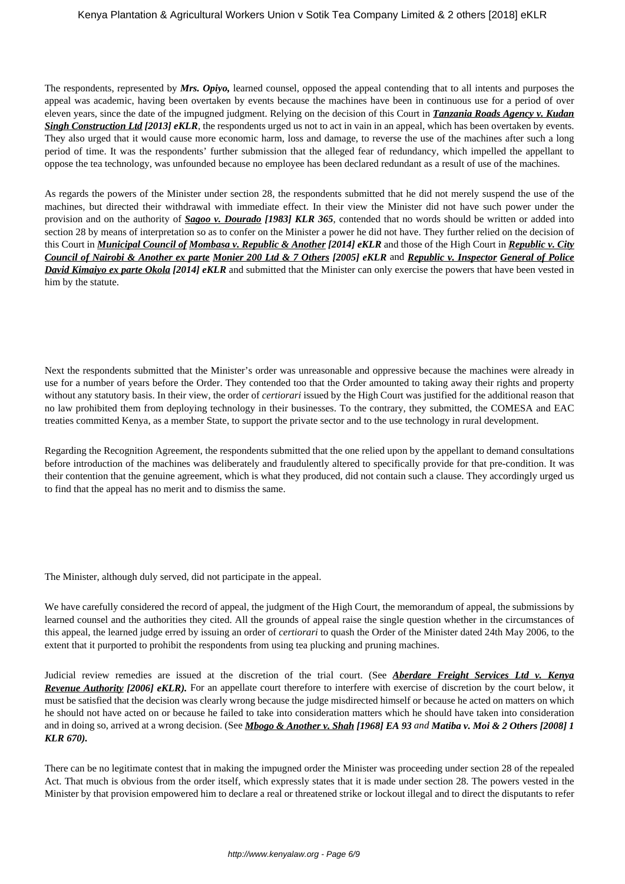The respondents, represented by *Mrs. Opiyo,* learned counsel, opposed the appeal contending that to all intents and purposes the appeal was academic, having been overtaken by events because the machines have been in continuous use for a period of over eleven years, since the date of the impugned judgment. Relying on the decision of this Court in *Tanzania Roads Agency v. Kudan Singh Construction Ltd [2013] eKLR*, the respondents urged us not to act in vain in an appeal, which has been overtaken by events. They also urged that it would cause more economic harm, loss and damage, to reverse the use of the machines after such a long period of time. It was the respondents' further submission that the alleged fear of redundancy, which impelled the appellant to oppose the tea technology, was unfounded because no employee has been declared redundant as a result of use of the machines.

As regards the powers of the Minister under section 28, the respondents submitted that he did not merely suspend the use of the machines, but directed their withdrawal with immediate effect. In their view the Minister did not have such power under the provision and on the authority of *Sagoo v. Dourado [1983] KLR 365*, contended that no words should be written or added into section 28 by means of interpretation so as to confer on the Minister a power he did not have. They further relied on the decision of this Court in *Municipal Council of Mombasa v. Republic & Another [2014] eKLR* and those of the High Court in *Republic v. City Council of Nairobi & Another ex parte Monier 200 Ltd & 7 Others [2005] eKLR* and *Republic v. Inspector General of Police David Kimaiyo ex parte Okola [2014] eKLR* and submitted that the Minister can only exercise the powers that have been vested in him by the statute.

Next the respondents submitted that the Minister's order was unreasonable and oppressive because the machines were already in use for a number of years before the Order. They contended too that the Order amounted to taking away their rights and property without any statutory basis. In their view, the order of *certiorari* issued by the High Court was justified for the additional reason that no law prohibited them from deploying technology in their businesses. To the contrary, they submitted, the COMESA and EAC treaties committed Kenya, as a member State, to support the private sector and to the use technology in rural development.

Regarding the Recognition Agreement, the respondents submitted that the one relied upon by the appellant to demand consultations before introduction of the machines was deliberately and fraudulently altered to specifically provide for that pre-condition. It was their contention that the genuine agreement, which is what they produced, did not contain such a clause. They accordingly urged us to find that the appeal has no merit and to dismiss the same.

The Minister, although duly served, did not participate in the appeal.

We have carefully considered the record of appeal, the judgment of the High Court, the memorandum of appeal, the submissions by learned counsel and the authorities they cited. All the grounds of appeal raise the single question whether in the circumstances of this appeal, the learned judge erred by issuing an order of *certiorari* to quash the Order of the Minister dated 24th May 2006, to the extent that it purported to prohibit the respondents from using tea plucking and pruning machines.

Judicial review remedies are issued at the discretion of the trial court. (See *Aberdare Freight Services Ltd v. Kenya Revenue Authority [2006] eKLR*). For an appellate court therefore to interfere with exercise of discretion by the court below, it must be satisfied that the decision was clearly wrong because the judge misdirected himself or because he acted on matters on which he should not have acted on or because he failed to take into consideration matters which he should have taken into consideration and in doing so, arrived at a wrong decision. (See *Mbogo & Another v. Shah [1968] EA 93 and Matiba v. Moi & 2 Others [2008] 1 KLR 670).*

There can be no legitimate contest that in making the impugned order the Minister was proceeding under section 28 of the repealed Act. That much is obvious from the order itself, which expressly states that it is made under section 28. The powers vested in the Minister by that provision empowered him to declare a real or threatened strike or lockout illegal and to direct the disputants to refer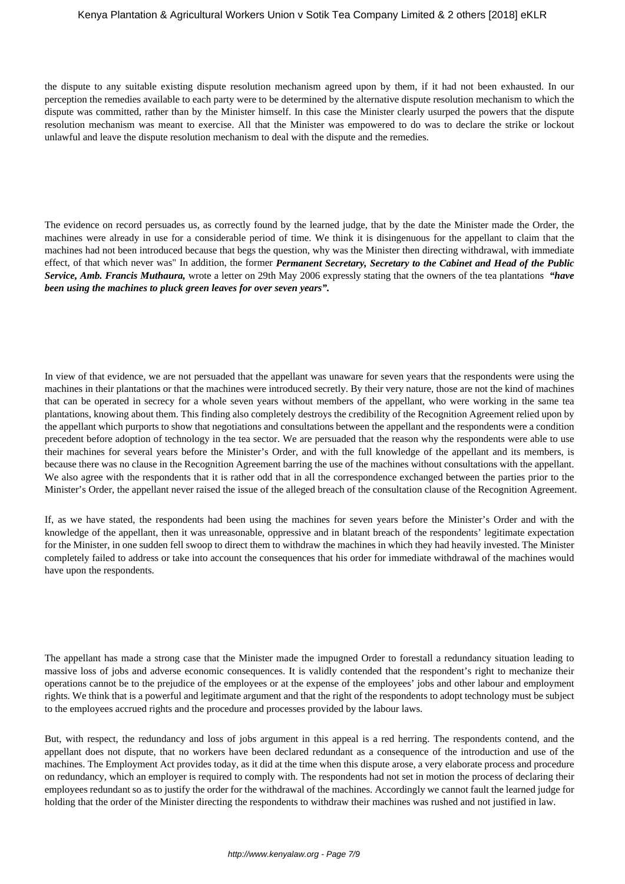#### Kenya Plantation & Agricultural Workers Union v Sotik Tea Company Limited & 2 others [2018] eKLR

the dispute to any suitable existing dispute resolution mechanism agreed upon by them, if it had not been exhausted. In our perception the remedies available to each party were to be determined by the alternative dispute resolution mechanism to which the dispute was committed, rather than by the Minister himself. In this case the Minister clearly usurped the powers that the dispute resolution mechanism was meant to exercise. All that the Minister was empowered to do was to declare the strike or lockout unlawful and leave the dispute resolution mechanism to deal with the dispute and the remedies.

The evidence on record persuades us, as correctly found by the learned judge, that by the date the Minister made the Order, the machines were already in use for a considerable period of time. We think it is disingenuous for the appellant to claim that the machines had not been introduced because that begs the question, why was the Minister then directing withdrawal, with immediate effect, of that which never was" In addition, the former *Permanent Secretary, Secretary to the Cabinet and Head of the Public Service, Amb. Francis Muthaura,* wrote a letter on 29th May 2006 expressly stating that the owners of the tea plantations *"have been using the machines to pluck green leaves for over seven years".*

In view of that evidence, we are not persuaded that the appellant was unaware for seven years that the respondents were using the machines in their plantations or that the machines were introduced secretly. By their very nature, those are not the kind of machines that can be operated in secrecy for a whole seven years without members of the appellant, who were working in the same tea plantations, knowing about them. This finding also completely destroys the credibility of the Recognition Agreement relied upon by the appellant which purports to show that negotiations and consultations between the appellant and the respondents were a condition precedent before adoption of technology in the tea sector. We are persuaded that the reason why the respondents were able to use their machines for several years before the Minister's Order, and with the full knowledge of the appellant and its members, is because there was no clause in the Recognition Agreement barring the use of the machines without consultations with the appellant. We also agree with the respondents that it is rather odd that in all the correspondence exchanged between the parties prior to the Minister's Order, the appellant never raised the issue of the alleged breach of the consultation clause of the Recognition Agreement.

If, as we have stated, the respondents had been using the machines for seven years before the Minister's Order and with the knowledge of the appellant, then it was unreasonable, oppressive and in blatant breach of the respondents' legitimate expectation for the Minister, in one sudden fell swoop to direct them to withdraw the machines in which they had heavily invested. The Minister completely failed to address or take into account the consequences that his order for immediate withdrawal of the machines would have upon the respondents.

The appellant has made a strong case that the Minister made the impugned Order to forestall a redundancy situation leading to massive loss of jobs and adverse economic consequences. It is validly contended that the respondent's right to mechanize their operations cannot be to the prejudice of the employees or at the expense of the employees' jobs and other labour and employment rights. We think that is a powerful and legitimate argument and that the right of the respondents to adopt technology must be subject to the employees accrued rights and the procedure and processes provided by the labour laws.

But, with respect, the redundancy and loss of jobs argument in this appeal is a red herring. The respondents contend, and the appellant does not dispute, that no workers have been declared redundant as a consequence of the introduction and use of the machines. The Employment Act provides today, as it did at the time when this dispute arose, a very elaborate process and procedure on redundancy, which an employer is required to comply with. The respondents had not set in motion the process of declaring their employees redundant so as to justify the order for the withdrawal of the machines. Accordingly we cannot fault the learned judge for holding that the order of the Minister directing the respondents to withdraw their machines was rushed and not justified in law.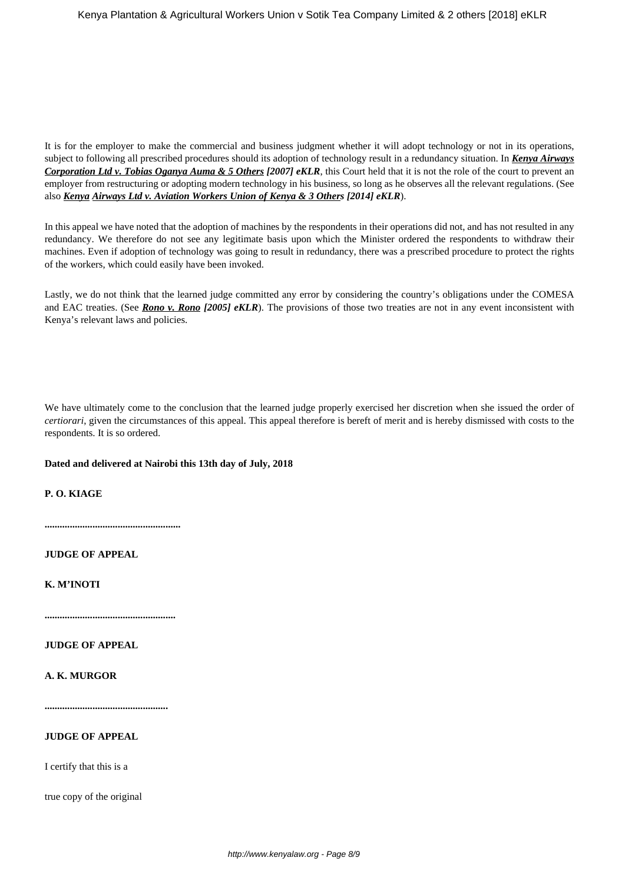It is for the employer to make the commercial and business judgment whether it will adopt technology or not in its operations, subject to following all prescribed procedures should its adoption of technology result in a redundancy situation. In *Kenya Airways Corporation Ltd v. Tobias Oganya Auma & 5 Others [2007] eKLR*, this Court held that it is not the role of the court to prevent an employer from restructuring or adopting modern technology in his business, so long as he observes all the relevant regulations. (See also *Kenya Airways Ltd v. Aviation Workers Union of Kenya & 3 Others [2014] eKLR*).

In this appeal we have noted that the adoption of machines by the respondents in their operations did not, and has not resulted in any redundancy. We therefore do not see any legitimate basis upon which the Minister ordered the respondents to withdraw their machines. Even if adoption of technology was going to result in redundancy, there was a prescribed procedure to protect the rights of the workers, which could easily have been invoked.

Lastly, we do not think that the learned judge committed any error by considering the country's obligations under the COMESA and EAC treaties. (See *Rono v. Rono* [2005] eKLR). The provisions of those two treaties are not in any event inconsistent with Kenya's relevant laws and policies.

We have ultimately come to the conclusion that the learned judge properly exercised her discretion when she issued the order of *certiorari*, given the circumstances of this appeal. This appeal therefore is bereft of merit and is hereby dismissed with costs to the respondents. It is so ordered.

## **Dated and delivered at Nairobi this 13th day of July, 2018**

**P. O. KIAGE**

**......................................................**

**JUDGE OF APPEAL**

**K. M'INOTI**

**....................................................**

**JUDGE OF APPEAL**

**A. K. MURGOR**

**.................................................**

#### **JUDGE OF APPEAL**

I certify that this is a

true copy of the original